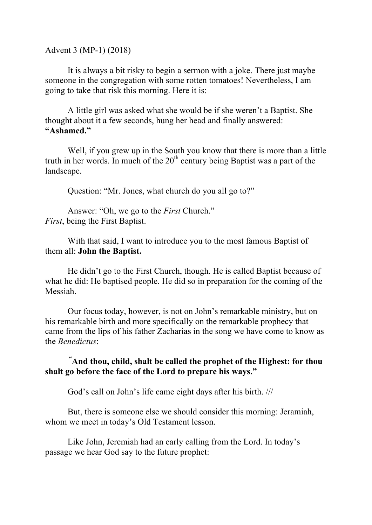Advent 3 (MP-1) (2018)

It is always a bit risky to begin a sermon with a joke. There just maybe someone in the congregation with some rotten tomatoes! Nevertheless, I am going to take that risk this morning. Here it is:

A little girl was asked what she would be if she weren't a Baptist. She thought about it a few seconds, hung her head and finally answered: **"Ashamed."**

Well, if you grew up in the South you know that there is more than a little truth in her words. In much of the  $20<sup>th</sup>$  century being Baptist was a part of the landscape.

Question: "Mr. Jones, what church do you all go to?"

Answer: "Oh, we go to the *First* Church." *First*, being the First Baptist.

With that said, I want to introduce you to the most famous Baptist of them all: **John the Baptist.**

He didn't go to the First Church, though. He is called Baptist because of what he did: He baptised people. He did so in preparation for the coming of the Messiah.

Our focus today, however, is not on John's remarkable ministry, but on his remarkable birth and more specifically on the remarkable prophecy that came from the lips of his father Zacharias in the song we have come to know as the *Benedictus*:

**" And thou, child, shalt be called the prophet of the Highest: for thou shalt go before the face of the Lord to prepare his ways."**

God's call on John's life came eight days after his birth. ///

But, there is someone else we should consider this morning: Jeramiah, whom we meet in today's Old Testament lesson.

Like John, Jeremiah had an early calling from the Lord. In today's passage we hear God say to the future prophet: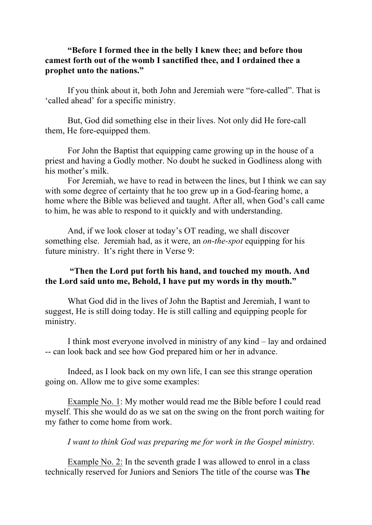## **"Before I formed thee in the belly I knew thee; and before thou camest forth out of the womb I sanctified thee, and I ordained thee a prophet unto the nations."**

If you think about it, both John and Jeremiah were "fore-called". That is 'called ahead' for a specific ministry.

But, God did something else in their lives. Not only did He fore-call them, He fore-equipped them.

For John the Baptist that equipping came growing up in the house of a priest and having a Godly mother. No doubt he sucked in Godliness along with his mother's milk.

For Jeremiah, we have to read in between the lines, but I think we can say with some degree of certainty that he too grew up in a God-fearing home, a home where the Bible was believed and taught. After all, when God's call came to him, he was able to respond to it quickly and with understanding.

And, if we look closer at today's OT reading, we shall discover something else. Jeremiah had, as it were, an *on-the-spot* equipping for his future ministry. It's right there in Verse 9:

## **"Then the Lord put forth his hand, and touched my mouth. And the Lord said unto me, Behold, I have put my words in thy mouth."**

What God did in the lives of John the Baptist and Jeremiah, I want to suggest, He is still doing today. He is still calling and equipping people for ministry.

I think most everyone involved in ministry of any kind – lay and ordained -- can look back and see how God prepared him or her in advance.

Indeed, as I look back on my own life, I can see this strange operation going on. Allow me to give some examples:

Example No. 1: My mother would read me the Bible before I could read myself. This she would do as we sat on the swing on the front porch waiting for my father to come home from work.

*I want to think God was preparing me for work in the Gospel ministry.*

Example No. 2: In the seventh grade I was allowed to enrol in a class technically reserved for Juniors and Seniors The title of the course was **The**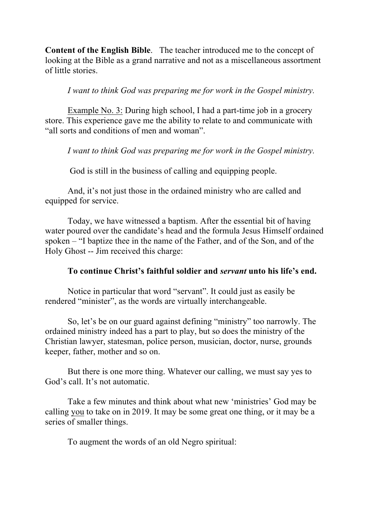**Content of the English Bible**. The teacher introduced me to the concept of looking at the Bible as a grand narrative and not as a miscellaneous assortment of little stories.

## *I want to think God was preparing me for work in the Gospel ministry.*

Example No. 3: During high school, I had a part-time job in a grocery store. This experience gave me the ability to relate to and communicate with "all sorts and conditions of men and woman".

*I want to think God was preparing me for work in the Gospel ministry.*

God is still in the business of calling and equipping people.

And, it's not just those in the ordained ministry who are called and equipped for service.

Today, we have witnessed a baptism. After the essential bit of having water poured over the candidate's head and the formula Jesus Himself ordained spoken – "I baptize thee in the name of the Father, and of the Son, and of the Holy Ghost -- Jim received this charge:

## **To continue Christ's faithful soldier and** *servant* **unto his life's end.**

Notice in particular that word "servant". It could just as easily be rendered "minister", as the words are virtually interchangeable.

So, let's be on our guard against defining "ministry" too narrowly. The ordained ministry indeed has a part to play, but so does the ministry of the Christian lawyer, statesman, police person, musician, doctor, nurse, grounds keeper, father, mother and so on.

But there is one more thing. Whatever our calling, we must say yes to God's call. It's not automatic.

Take a few minutes and think about what new 'ministries' God may be calling you to take on in 2019. It may be some great one thing, or it may be a series of smaller things.

To augment the words of an old Negro spiritual: